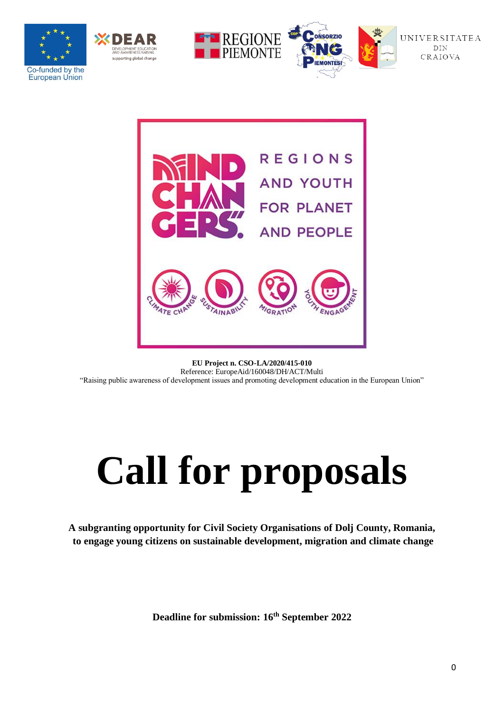







**EU Project n. CSO-LA/2020/415-010** Reference: EuropeAid/160048/DH/ACT/Multi "Raising public awareness of development issues and promoting development education in the European Union"

# **Call for proposals**

**A subgranting opportunity for Civil Society Organisations of Dolj County, Romania, to engage young citizens on sustainable development, migration and climate change**

**Deadline for submission: 16th September 2022**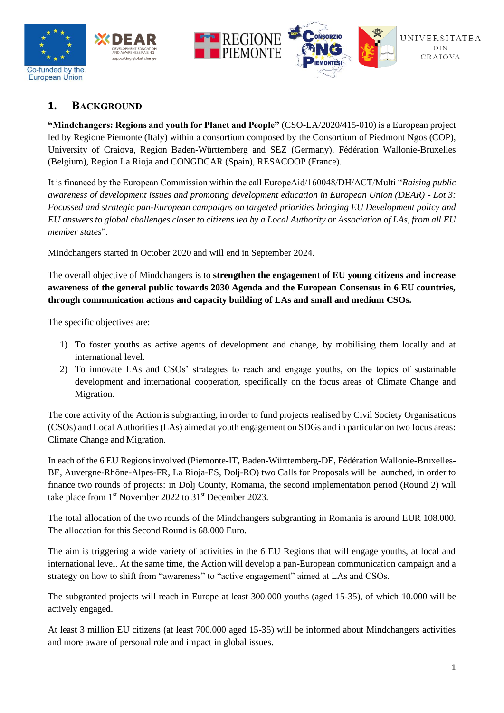

## **1. BACKGROUND**

**"Mindchangers: Regions and youth for Planet and People"** (CSO-LA/2020/415-010) is a European project led by Regione Piemonte (Italy) within a consortium composed by the Consortium of Piedmont Ngos (COP), University of Craiova, Region Baden-Württemberg and SEZ (Germany), Fédération Wallonie-Bruxelles (Belgium), Region La Rioja and CONGDCAR (Spain), RESACOOP (France).

It is financed by the European Commission within the call EuropeAid/160048/DH/ACT/Multi "*Raising public awareness of development issues and promoting development education in European Union (DEAR) - Lot 3: Focussed and strategic pan-European campaigns on targeted priorities bringing EU Development policy and EU answers to global challenges closer to citizens led by a Local Authority or Association of LAs, from all EU member states*".

Mindchangers started in October 2020 and will end in September 2024.

The overall objective of Mindchangers is to **strengthen the engagement of EU young citizens and increase awareness of the general public towards 2030 Agenda and the European Consensus in 6 EU countries, through communication actions and capacity building of LAs and small and medium CSOs.**

The specific objectives are:

- 1) To foster youths as active agents of development and change, by mobilising them locally and at international level.
- 2) To innovate LAs and CSOs' strategies to reach and engage youths, on the topics of sustainable development and international cooperation, specifically on the focus areas of Climate Change and Migration.

The core activity of the Action is subgranting, in order to fund projects realised by Civil Society Organisations (CSOs) and Local Authorities (LAs) aimed at youth engagement on SDGs and in particular on two focus areas: Climate Change and Migration.

In each of the 6 EU Regions involved (Piemonte-IT, Baden-Württemberg-DE, Fédération Wallonie-Bruxelles-BE, Auvergne-Rhône-Alpes-FR, La Rioja-ES, Dolj-RO) two Calls for Proposals will be launched, in order to finance two rounds of projects: in Dolj County, Romania, the second implementation period (Round 2) will take place from 1<sup>st</sup> November 2022 to 31<sup>st</sup> December 2023.

The total allocation of the two rounds of the Mindchangers subgranting in Romania is around EUR 108.000. The allocation for this Second Round is 68.000 Euro.

The aim is triggering a wide variety of activities in the 6 EU Regions that will engage youths, at local and international level. At the same time, the Action will develop a pan-European communication campaign and a strategy on how to shift from "awareness" to "active engagement" aimed at LAs and CSOs.

The subgranted projects will reach in Europe at least 300.000 youths (aged 15-35), of which 10.000 will be actively engaged.

At least 3 million EU citizens (at least 700.000 aged 15-35) will be informed about Mindchangers activities and more aware of personal role and impact in global issues.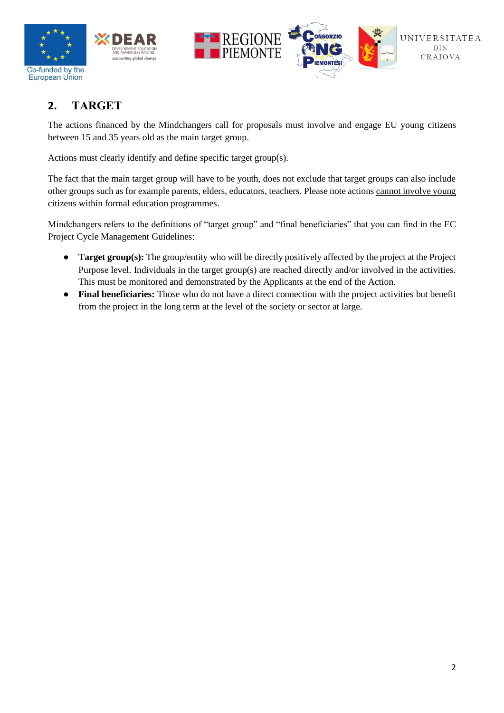



# **2. TARGET**

The actions financed by the Mindchangers call for proposals must involve and engage EU young citizens between 15 and 35 years old as the main target group.

Actions must clearly identify and define specific target group(s).

The fact that the main target group will have to be youth, does not exclude that target groups can also include other groups such as for example parents, elders, educators, teachers. Please note actions cannot involve young citizens within formal education programmes.

Mindchangers refers to the definitions of "target group" and "final beneficiaries" that you can find in the EC Project Cycle Management Guidelines:

- **Target group(s):** The group/entity who will be directly positively affected by the project at the Project Purpose level. Individuals in the target group(s) are reached directly and/or involved in the activities. This must be monitored and demonstrated by the Applicants at the end of the Action.
- **Final beneficiaries:** Those who do not have a direct connection with the project activities but benefit from the project in the long term at the level of the society or sector at large.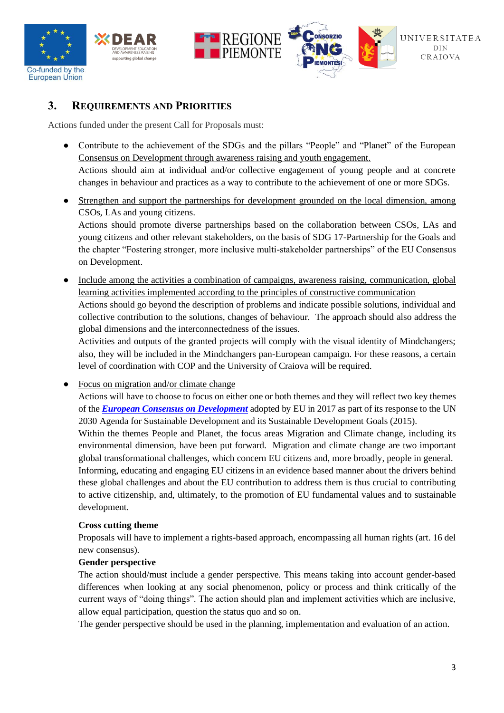





## **3. REQUIREMENTS AND PRIORITIES**

Actions funded under the present Call for Proposals must:

- Contribute to the achievement of the SDGs and the pillars "People" and "Planet" of the European Consensus on Development through awareness raising and youth engagement. Actions should aim at individual and/or collective engagement of young people and at concrete changes in behaviour and practices as a way to contribute to the achievement of one or more SDGs.
- Strengthen and support the partnerships for development grounded on the local dimension, among CSOs, LAs and young citizens.

Actions should promote diverse partnerships based on the collaboration between CSOs, LAs and young citizens and other relevant stakeholders, on the basis of SDG 17-Partnership for the Goals and the chapter "Fostering stronger, more inclusive multi-stakeholder partnerships" of the EU Consensus on Development.

● Include among the activities a combination of campaigns, awareness raising, communication, global learning activities implemented according to the principles of constructive communication Actions should go beyond the description of problems and indicate possible solutions, individual and

collective contribution to the solutions, changes of behaviour. The approach should also address the global dimensions and the interconnectedness of the issues.

Activities and outputs of the granted projects will comply with the visual identity of Mindchangers; also, they will be included in the Mindchangers pan-European campaign. For these reasons, a certain level of coordination with COP and the University of Craiova will be required.

• Focus on migration and/or climate change

Actions will have to choose to focus on either one or both themes and they will reflect two key themes of the *[European Consensus on Development](https://ec.europa.eu/international-partnerships/european-consensus-development_en)* adopted by EU in 2017 as part of its response to the UN 2030 Agenda for Sustainable Development and its Sustainable Development Goals (2015).

Within the themes People and Planet, the focus areas Migration and Climate change, including its environmental dimension, have been put forward. Migration and climate change are two important global transformational challenges, which concern EU citizens and, more broadly, people in general. Informing, educating and engaging EU citizens in an evidence based manner about the drivers behind these global challenges and about the EU contribution to address them is thus crucial to contributing

to active citizenship, and, ultimately, to the promotion of EU fundamental values and to sustainable development.

#### **Cross cutting theme**

Proposals will have to implement a rights-based approach, encompassing all human rights (art. 16 del new consensus).

#### **Gender perspective**

The action should/must include a gender perspective. This means taking into account gender-based differences when looking at any social phenomenon, policy or process and think critically of the current ways of "doing things". The action should plan and implement activities which are inclusive, allow equal participation, question the status quo and so on.

The gender perspective should be used in the planning, implementation and evaluation of an action.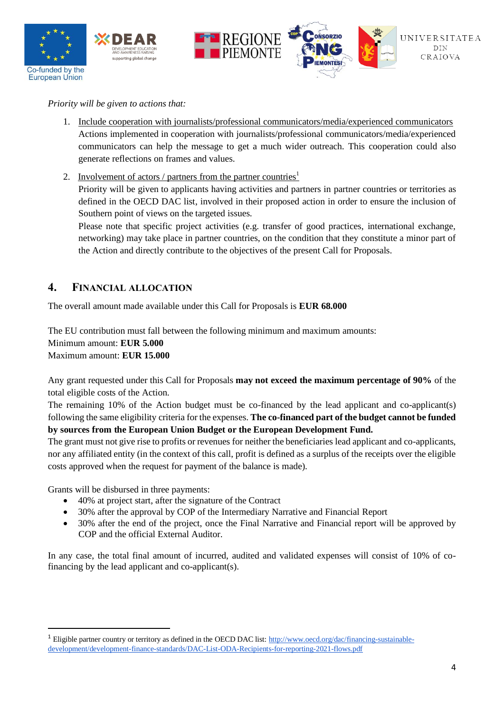

*Priority will be given to actions that:* 

- 1. Include cooperation with journalists/professional communicators/media/experienced communicators Actions implemented in cooperation with journalists/professional communicators/media/experienced communicators can help the message to get a much wider outreach. This cooperation could also generate reflections on frames and values.
- 2. Involvement of actors / partners from the partner countries<sup>1</sup> Priority will be given to applicants having activities and partners in partner countries or territories as defined in the OECD DAC list, involved in their proposed action in order to ensure the inclusion of Southern point of views on the targeted issues.

Please note that specific project activities (e.g. transfer of good practices, international exchange, networking) may take place in partner countries, on the condition that they constitute a minor part of the Action and directly contribute to the objectives of the present Call for Proposals.

## **4. FINANCIAL ALLOCATION**

The overall amount made available under this Call for Proposals is **EUR 68.000**

The EU contribution must fall between the following minimum and maximum amounts:

Minimum amount: **EUR 5.000** 

Maximum amount: **EUR 15.000**

Any grant requested under this Call for Proposals **may not exceed the maximum percentage of 90%** of the total eligible costs of the Action.

The remaining 10% of the Action budget must be co-financed by the lead applicant and co-applicant(s) following the same eligibility criteria for the expenses. **The co-financed part of the budget cannot be funded by sources from the European Union Budget or the European Development Fund.**

The grant must not give rise to profits or revenues for neither the beneficiaries lead applicant and co-applicants, nor any affiliated entity (in the context of this call, profit is defined as a surplus of the receipts over the eligible costs approved when the request for payment of the balance is made).

Grants will be disbursed in three payments:

- 40% at project start, after the signature of the Contract
- 30% after the approval by COP of the Intermediary Narrative and Financial Report
- 30% after the end of the project, once the Final Narrative and Financial report will be approved by COP and the official External Auditor.

In any case, the total final amount of incurred, audited and validated expenses will consist of 10% of cofinancing by the lead applicant and co-applicant(s).

<sup>&</sup>lt;sup>1</sup> Eligible partner country or territory as defined in the OECD DAC list[: http://www.oecd.org/dac/financing-sustainable](http://www.oecd.org/dac/financing-sustainable-development/development-finance-standards/DAC-List-ODA-Recipients-for-reporting-2021-flows.pdf)[development/development-finance-standards/DAC-List-ODA-Recipients-for-reporting-2021-flows.pdf](http://www.oecd.org/dac/financing-sustainable-development/development-finance-standards/DAC-List-ODA-Recipients-for-reporting-2021-flows.pdf)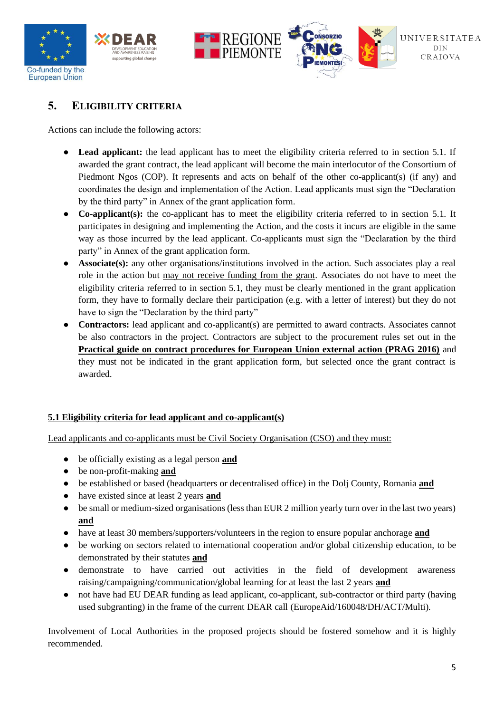



# **5. ELIGIBILITY CRITERIA**

Actions can include the following actors:

- **Lead applicant:** the lead applicant has to meet the eligibility criteria referred to in section 5.1. If awarded the grant contract, the lead applicant will become the main interlocutor of the Consortium of Piedmont Ngos (COP). It represents and acts on behalf of the other co-applicant(s) (if any) and coordinates the design and implementation of the Action. Lead applicants must sign the "Declaration by the third party" in Annex of the grant application form.
- **Co-applicant(s):** the co-applicant has to meet the eligibility criteria referred to in section 5.1. It participates in designing and implementing the Action, and the costs it incurs are eligible in the same way as those incurred by the lead applicant. Co-applicants must sign the "Declaration by the third party" in Annex of the grant application form.
- **Associate(s):** any other organisations/institutions involved in the action. Such associates play a real role in the action but may not receive funding from the grant. Associates do not have to meet the eligibility criteria referred to in section 5.1, they must be clearly mentioned in the grant application form, they have to formally declare their participation (e.g. with a letter of interest) but they do not have to sign the "Declaration by the third party"
- **Contractors:** lead applicant and co-applicant(s) are permitted to award contracts. Associates cannot be also contractors in the project. Contractors are subject to the procurement rules set out in th[e](https://ec.europa.eu/europeaid/prag/previousVersions.do;JSESSIONID_PUBLIC=NcKNsY24krYSU0Bx5MR8Npu3SWFacUkR_gVHT2X3xTISw8IuZMxf!1314183481) **[Practical guide on contract procedures for European Union external action \(PRAG 2016\)](https://ec.europa.eu/europeaid/prag/previousVersions.do;JSESSIONID_PUBLIC=NcKNsY24krYSU0Bx5MR8Npu3SWFacUkR_gVHT2X3xTISw8IuZMxf!1314183481)** and they must not be indicated in the grant application form, but selected once the grant contract is awarded.

## **5.1 Eligibility criteria for lead applicant and co-applicant(s)**

Lead applicants and co-applicants must be Civil Society Organisation (CSO) and they must:

- be officially existing as a legal person **and**
- be non-profit-making **and**
- be established or based (headquarters or decentralised office) in the Dolj County, Romania **and**
- have existed since at least 2 years **and**
- be small or medium-sized organisations (less than EUR 2 million yearly turn over in the last two years) **and**
- have at least 30 members/supporters/volunteers in the region to ensure popular anchorage **and**
- be working on sectors related to international cooperation and/or global citizenship education, to be demonstrated by their statutes **and**
- demonstrate to have carried out activities in the field of development awareness raising/campaigning/communication/global learning for at least the last 2 years **and**
- not have had EU DEAR funding as lead applicant, co-applicant, sub-contractor or third party (having used subgranting) in the frame of the current DEAR call (EuropeAid/160048/DH/ACT/Multi).

Involvement of Local Authorities in the proposed projects should be fostered somehow and it is highly recommended.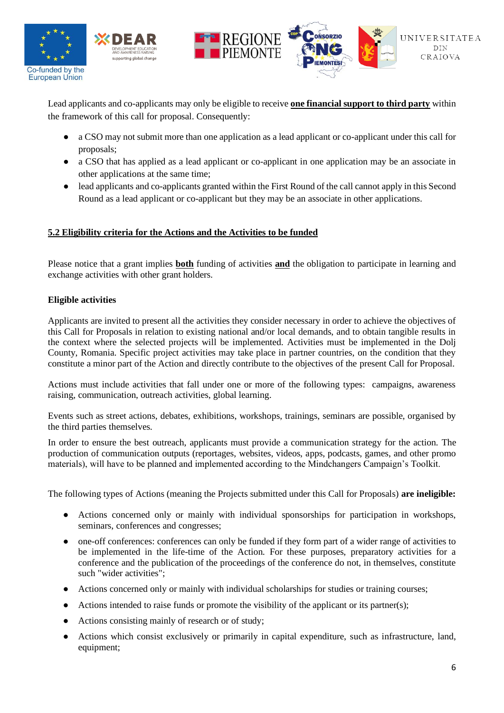





Lead applicants and co-applicants may only be eligible to receive **one financial support to third party** within the framework of this call for proposal. Consequently:

- a CSO may not submit more than one application as a lead applicant or co-applicant under this call for proposals;
- a CSO that has applied as a lead applicant or co-applicant in one application may be an associate in other applications at the same time;
- lead applicants and co-applicants granted within the First Round of the call cannot apply in this Second Round as a lead applicant or co-applicant but they may be an associate in other applications.

## **5.2 Eligibility criteria for the Actions and the Activities to be funded**

Please notice that a grant implies **both** funding of activities **and** the obligation to participate in learning and exchange activities with other grant holders.

#### **Eligible activities**

Applicants are invited to present all the activities they consider necessary in order to achieve the objectives of this Call for Proposals in relation to existing national and/or local demands, and to obtain tangible results in the context where the selected projects will be implemented. Activities must be implemented in the Dolj County, Romania. Specific project activities may take place in partner countries, on the condition that they constitute a minor part of the Action and directly contribute to the objectives of the present Call for Proposal.

Actions must include activities that fall under one or more of the following types: campaigns, awareness raising, communication, outreach activities, global learning.

Events such as street actions, debates, exhibitions, workshops, trainings, seminars are possible, organised by the third parties themselves.

In order to ensure the best outreach, applicants must provide a communication strategy for the action. The production of communication outputs (reportages, websites, videos, apps, podcasts, games, and other promo materials), will have to be planned and implemented according to the Mindchangers Campaign's Toolkit.

The following types of Actions (meaning the Projects submitted under this Call for Proposals) **are ineligible:**

- Actions concerned only or mainly with individual sponsorships for participation in workshops, seminars, conferences and congresses;
- one-off conferences: conferences can only be funded if they form part of a wider range of activities to be implemented in the life-time of the Action. For these purposes, preparatory activities for a conference and the publication of the proceedings of the conference do not, in themselves, constitute such "wider activities";
- Actions concerned only or mainly with individual scholarships for studies or training courses;
- Actions intended to raise funds or promote the visibility of the applicant or its partner(s);
- Actions consisting mainly of research or of study;
- Actions which consist exclusively or primarily in capital expenditure, such as infrastructure, land, equipment;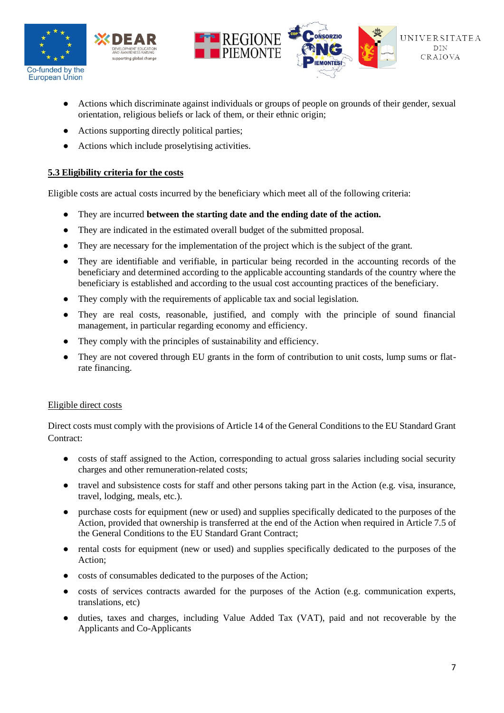





- Actions which discriminate against individuals or groups of people on grounds of their gender, sexual orientation, religious beliefs or lack of them, or their ethnic origin;
- Actions supporting directly political parties:
- Actions which include proselytising activities.

#### **5.3 Eligibility criteria for the costs**

Eligible costs are actual costs incurred by the beneficiary which meet all of the following criteria:

- They are incurred **between the starting date and the ending date of the action.**
- They are indicated in the estimated overall budget of the submitted proposal.
- They are necessary for the implementation of the project which is the subject of the grant.
- They are identifiable and verifiable, in particular being recorded in the accounting records of the beneficiary and determined according to the applicable accounting standards of the country where the beneficiary is established and according to the usual cost accounting practices of the beneficiary.
- They comply with the requirements of applicable tax and social legislation.
- They are real costs, reasonable, justified, and comply with the principle of sound financial management, in particular regarding economy and efficiency.
- They comply with the principles of sustainability and efficiency.
- They are not covered through EU grants in the form of contribution to unit costs, lump sums or flatrate financing.

#### Eligible direct costs

Direct costs must comply with the provisions of Article 14 of the General Conditions to the EU Standard Grant Contract:

- costs of staff assigned to the Action, corresponding to actual gross salaries including social security charges and other remuneration-related costs;
- travel and subsistence costs for staff and other persons taking part in the Action (e.g. visa, insurance, travel, lodging, meals, etc.).
- purchase costs for equipment (new or used) and supplies specifically dedicated to the purposes of the Action, provided that ownership is transferred at the end of the Action when required in Article 7.5 of the General Conditions to the EU Standard Grant Contract;
- rental costs for equipment (new or used) and supplies specifically dedicated to the purposes of the Action;
- costs of consumables dedicated to the purposes of the Action;
- costs of services contracts awarded for the purposes of the Action (e.g. communication experts, translations, etc)
- duties, taxes and charges, including Value Added Tax (VAT), paid and not recoverable by the Applicants and Co-Applicants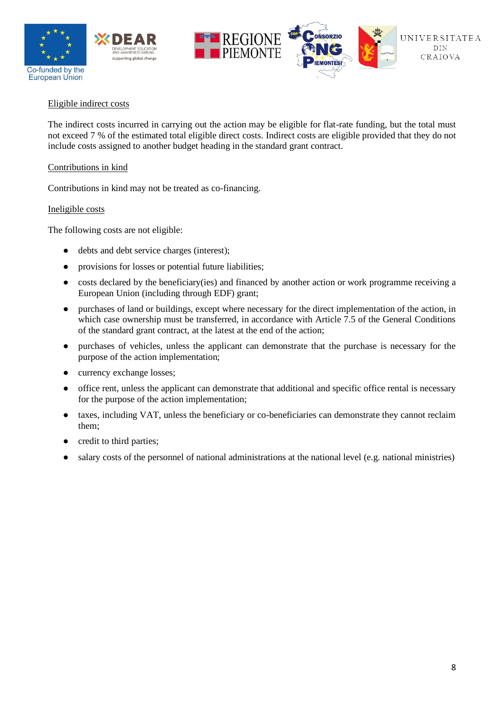





#### Eligible indirect costs

The indirect costs incurred in carrying out the action may be eligible for flat-rate funding, but the total must not exceed 7 % of the estimated total eligible direct costs. Indirect costs are eligible provided that they do not include costs assigned to another budget heading in the standard grant contract.

#### Contributions in kind

Contributions in kind may not be treated as co-financing.

#### Ineligible costs

The following costs are not eligible:

- debts and debt service charges (interest);
- provisions for losses or potential future liabilities;
- costs declared by the beneficiary(ies) and financed by another action or work programme receiving a European Union (including through EDF) grant;
- purchases of land or buildings, except where necessary for the direct implementation of the action, in which case ownership must be transferred, in accordance with Article  $7.5$  of the General Conditions of the standard grant contract, at the latest at the end of the action;
- purchases of vehicles, unless the applicant can demonstrate that the purchase is necessary for the purpose of the action implementation;
- currency exchange losses;
- office rent, unless the applicant can demonstrate that additional and specific office rental is necessary for the purpose of the action implementation;
- taxes, including VAT, unless the beneficiary or co-beneficiaries can demonstrate they cannot reclaim them;
- credit to third parties;
- salary costs of the personnel of national administrations at the national level (e.g. national ministries)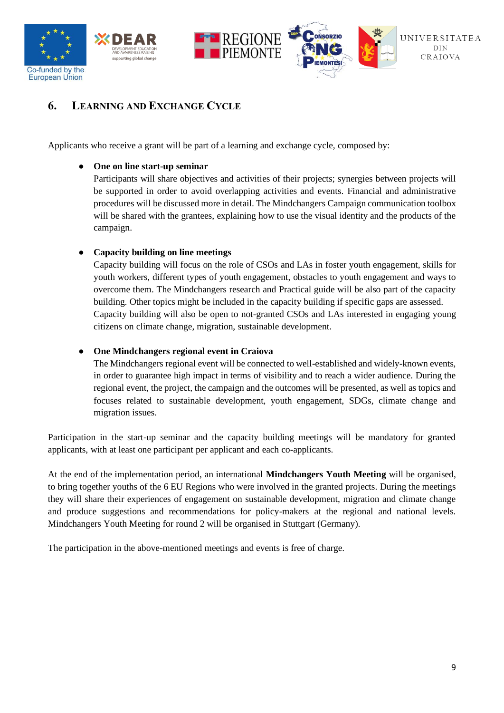



# **6. LEARNING AND EXCHANGE CYCLE**

Applicants who receive a grant will be part of a learning and exchange cycle, composed by:

#### **One on line start-up seminar**

Participants will share objectives and activities of their projects; synergies between projects will be supported in order to avoid overlapping activities and events. Financial and administrative procedures will be discussed more in detail. The Mindchangers Campaign communication toolbox will be shared with the grantees, explaining how to use the visual identity and the products of the campaign.

## ● **Capacity building on line meetings**

Capacity building will focus on the role of CSOs and LAs in foster youth engagement, skills for youth workers, different types of youth engagement, obstacles to youth engagement and ways to overcome them. The Mindchangers research and Practical guide will be also part of the capacity building. Other topics might be included in the capacity building if specific gaps are assessed. Capacity building will also be open to not-granted CSOs and LAs interested in engaging young citizens on climate change, migration, sustainable development.

## ● **One Mindchangers regional event in Craiova**

The Mindchangers regional event will be connected to well-established and widely-known events, in order to guarantee high impact in terms of visibility and to reach a wider audience. During the regional event, the project, the campaign and the outcomes will be presented, as well as topics and focuses related to sustainable development, youth engagement, SDGs, climate change and migration issues.

Participation in the start-up seminar and the capacity building meetings will be mandatory for granted applicants, with at least one participant per applicant and each co-applicants.

At the end of the implementation period, an international **Mindchangers Youth Meeting** will be organised, to bring together youths of the 6 EU Regions who were involved in the granted projects. During the meetings they will share their experiences of engagement on sustainable development, migration and climate change and produce suggestions and recommendations for policy-makers at the regional and national levels. Mindchangers Youth Meeting for round 2 will be organised in Stuttgart (Germany).

The participation in the above-mentioned meetings and events is free of charge.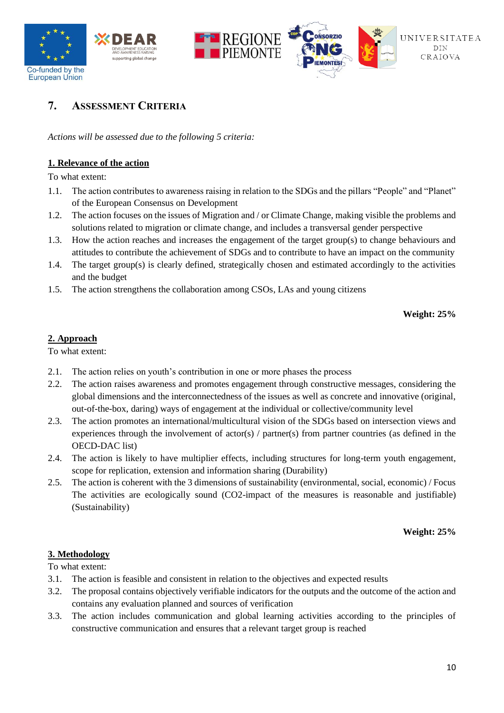

# **7. ASSESSMENT CRITERIA**

*Actions will be assessed due to the following 5 criteria:*

#### **1. Relevance of the action**

To what extent:

- 1.1. The action contributes to awareness raising in relation to the SDGs and the pillars "People" and "Planet" of the European Consensus on Development
- 1.2. The action focuses on the issues of Migration and / or Climate Change, making visible the problems and solutions related to migration or climate change, and includes a transversal gender perspective
- 1.3. How the action reaches and increases the engagement of the target group(s) to change behaviours and attitudes to contribute the achievement of SDGs and to contribute to have an impact on the community
- 1.4. The target group(s) is clearly defined, strategically chosen and estimated accordingly to the activities and the budget
- 1.5. The action strengthens the collaboration among CSOs, LAs and young citizens

**Weight: 25%**

#### **2. Approach**

To what extent:

- 2.1. The action relies on youth's contribution in one or more phases the process
- 2.2. The action raises awareness and promotes engagement through constructive messages, considering the global dimensions and the interconnectedness of the issues as well as concrete and innovative (original, out-of-the-box, daring) ways of engagement at the individual or collective/community level
- 2.3. The action promotes an international/multicultural vision of the SDGs based on intersection views and experiences through the involvement of actor(s) / partner(s) from partner countries (as defined in the OECD-DAC list)
- 2.4. The action is likely to have multiplier effects, including structures for long-term youth engagement, scope for replication, extension and information sharing (Durability)
- 2.5. The action is coherent with the 3 dimensions of sustainability (environmental, social, economic) / Focus The activities are ecologically sound (CO2-impact of the measures is reasonable and justifiable) (Sustainability)

**Weight: 25%**

#### **3. Methodology**

To what extent:

- 3.1. The action is feasible and consistent in relation to the objectives and expected results
- 3.2. The proposal contains objectively verifiable indicators for the outputs and the outcome of the action and contains any evaluation planned and sources of verification
- 3.3. The action includes communication and global learning activities according to the principles of constructive communication and ensures that a relevant target group is reached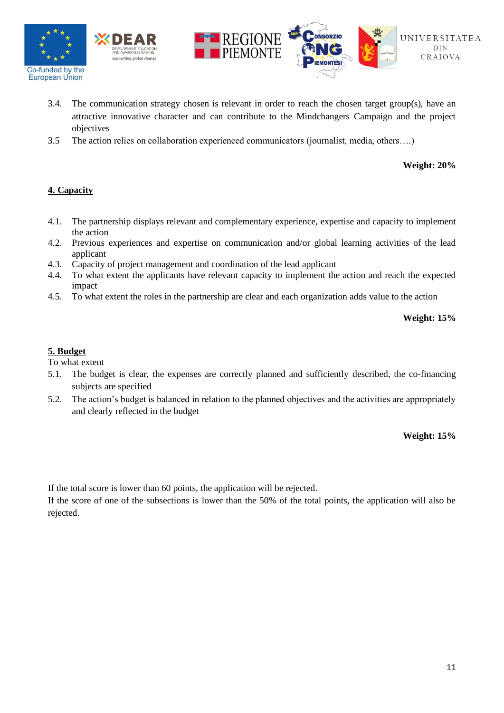





- 3.4. The communication strategy chosen is relevant in order to reach the chosen target group(s), have an attractive innovative character and can contribute to the Mindchangers Campaign and the project objectives
- 3.5 The action relies on collaboration experienced communicators (journalist, media, others….)

**Weight: 20%**

#### **4. Capacity**

- 4.1. The partnership displays relevant and complementary experience, expertise and capacity to implement the action
- 4.2. Previous experiences and expertise on communication and/or global learning activities of the lead applicant
- 4.3. Capacity of project management and coordination of the lead applicant
- 4.4. To what extent the applicants have relevant capacity to implement the action and reach the expected impact
- 4.5. To what extent the roles in the partnership are clear and each organization adds value to the action

**Weight: 15%**

#### **5. Budget**

To what extent

- 5.1. The budget is clear, the expenses are correctly planned and sufficiently described, the co-financing subjects are specified
- 5.2. The action's budget is balanced in relation to the planned objectives and the activities are appropriately and clearly reflected in the budget

**Weight: 15%**

If the total score is lower than 60 points, the application will be rejected.

If the score of one of the subsections is lower than the 50% of the total points, the application will also be rejected.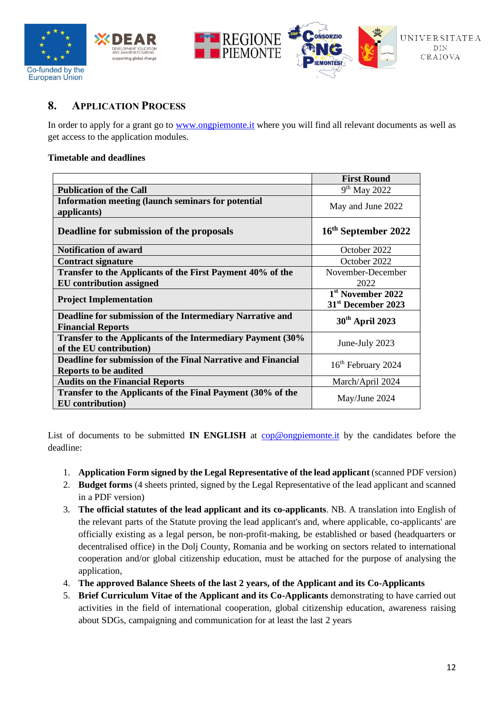



# **8. APPLICATION PROCESS**

In order to apply for a grant go to [www.ongpiemonte.it](http://www.ongpiemonte.it/) where you will find all relevant documents as well as get access to the application modules.

#### **Timetable and deadlines**

|                                                                                        | <b>First Round</b>                                              |
|----------------------------------------------------------------------------------------|-----------------------------------------------------------------|
| <b>Publication of the Call</b>                                                         | $9th$ May 2022                                                  |
| <b>Information meeting (launch seminars for potential</b><br>applicants)               | May and June 2022                                               |
| Deadline for submission of the proposals                                               | 16 <sup>th</sup> September 2022                                 |
| <b>Notification of award</b>                                                           | October 2022                                                    |
| <b>Contract signature</b>                                                              | October 2022                                                    |
| Transfer to the Applicants of the First Payment 40% of the                             | November-December                                               |
| <b>EU</b> contribution assigned                                                        | 2022                                                            |
| <b>Project Implementation</b>                                                          | 1 <sup>st</sup> November 2022<br>31 <sup>st</sup> December 2023 |
| Deadline for submission of the Intermediary Narrative and<br><b>Financial Reports</b>  | 30 <sup>th</sup> April 2023                                     |
| Transfer to the Applicants of the Intermediary Payment (30%<br>of the EU contribution) | June-July 2023                                                  |
| Deadline for submission of the Final Narrative and Financial<br>Reports to be audited  | 16 <sup>th</sup> February 2024                                  |
| <b>Audits on the Financial Reports</b>                                                 | March/April 2024                                                |
| Transfer to the Applicants of the Final Payment (30% of the<br>EU contribution)        | May/June 2024                                                   |

List of documents to be submitted **IN ENGLISH** at [cop@ongpiemonte.it](mailto:cop@ongpiemonte.it) by the candidates before the deadline:

- 1. **Application Form signed by the Legal Representative of the lead applicant** (scanned PDF version)
- 2. **Budget forms** (4 sheets printed, signed by the Legal Representative of the lead applicant and scanned in a PDF version)
- 3. **The official statutes of the lead applicant and its co-applicants**. NB. A translation into English of the relevant parts of the Statute proving the lead applicant's and, where applicable, co-applicants' are officially existing as a legal person, be non-profit-making, be established or based (headquarters or decentralised office) in the Dolj County, Romania and be working on sectors related to international cooperation and/or global citizenship education, must be attached for the purpose of analysing the application,
- 4. **The approved Balance Sheets of the last 2 years, of the Applicant and its Co-Applicants**
- 5. **Brief Curriculum Vitae of the Applicant and its Co-Applicants** demonstrating to have carried out activities in the field of international cooperation, global citizenship education, awareness raising about SDGs, campaigning and communication for at least the last 2 years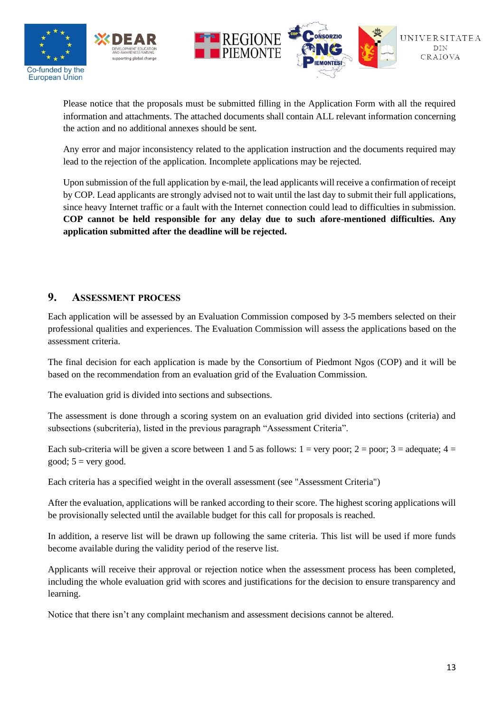

Please notice that the proposals must be submitted filling in the Application Form with all the required information and attachments. The attached documents shall contain ALL relevant information concerning the action and no additional annexes should be sent.

Any error and major inconsistency related to the application instruction and the documents required may lead to the rejection of the application. Incomplete applications may be rejected.

Upon submission of the full application by e-mail, the lead applicants will receive a confirmation of receipt by COP. Lead applicants are strongly advised not to wait until the last day to submit their full applications, since heavy Internet traffic or a fault with the Internet connection could lead to difficulties in submission. **COP cannot be held responsible for any delay due to such afore-mentioned difficulties. Any application submitted after the deadline will be rejected.**

## **9. ASSESSMENT PROCESS**

Each application will be assessed by an Evaluation Commission composed by 3-5 members selected on their professional qualities and experiences. The Evaluation Commission will assess the applications based on the assessment criteria.

The final decision for each application is made by the Consortium of Piedmont Ngos (COP) and it will be based on the recommendation from an evaluation grid of the Evaluation Commission.

The evaluation grid is divided into sections and subsections.

The assessment is done through a scoring system on an evaluation grid divided into sections (criteria) and subsections (subcriteria), listed in the previous paragraph "Assessment Criteria".

Each sub-criteria will be given a score between 1 and 5 as follows:  $1 = \text{very poor}$ ;  $2 = \text{poor}$ ;  $3 = \text{adequate}$ ;  $4 = \text{ceural}$ good;  $5 = \text{very good.}$ 

Each criteria has a specified weight in the overall assessment (see "Assessment Criteria")

After the evaluation, applications will be ranked according to their score. The highest scoring applications will be provisionally selected until the available budget for this call for proposals is reached.

In addition, a reserve list will be drawn up following the same criteria. This list will be used if more funds become available during the validity period of the reserve list.

Applicants will receive their approval or rejection notice when the assessment process has been completed, including the whole evaluation grid with scores and justifications for the decision to ensure transparency and learning.

Notice that there isn't any complaint mechanism and assessment decisions cannot be altered.